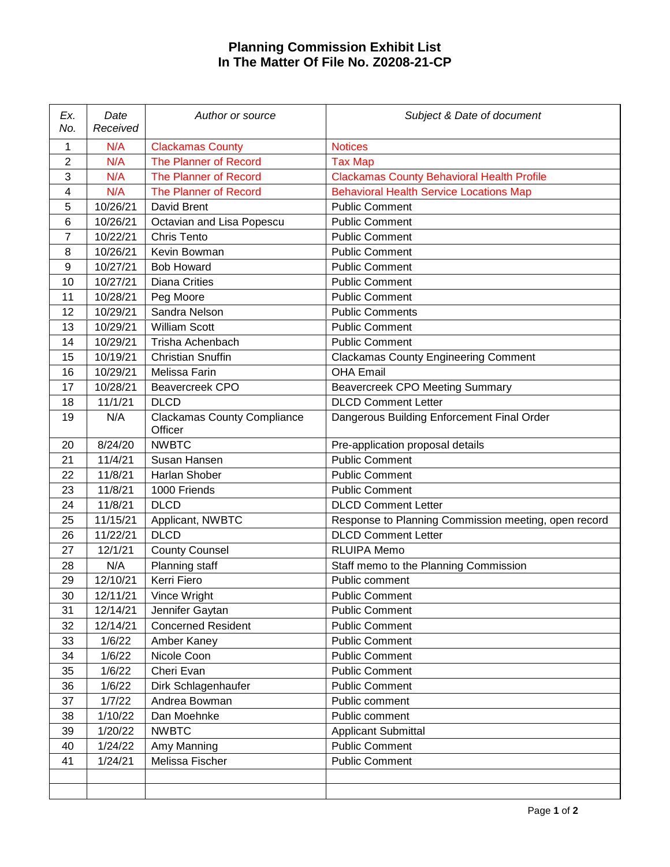## **Planning Commission Exhibit List In The Matter Of File No. Z0208-21-CP**

| Ex.<br>No.     | Date<br>Received | Author or source                              | Subject & Date of document                           |
|----------------|------------------|-----------------------------------------------|------------------------------------------------------|
| 1              | N/A              | <b>Clackamas County</b>                       | <b>Notices</b>                                       |
| $\overline{2}$ | N/A              | <b>The Planner of Record</b>                  | <b>Tax Map</b>                                       |
| 3              | N/A              | <b>The Planner of Record</b>                  | <b>Clackamas County Behavioral Health Profile</b>    |
| 4              | N/A              | <b>The Planner of Record</b>                  | <b>Behavioral Health Service Locations Map</b>       |
| 5              | 10/26/21         | David Brent                                   | <b>Public Comment</b>                                |
| 6              | 10/26/21         | Octavian and Lisa Popescu                     | <b>Public Comment</b>                                |
| $\overline{7}$ | 10/22/21         | <b>Chris Tento</b>                            | <b>Public Comment</b>                                |
| 8              | 10/26/21         | Kevin Bowman                                  | <b>Public Comment</b>                                |
| 9              | 10/27/21         | <b>Bob Howard</b>                             | <b>Public Comment</b>                                |
| 10             | 10/27/21         | <b>Diana Crities</b>                          | <b>Public Comment</b>                                |
| 11             | 10/28/21         | Peg Moore                                     | <b>Public Comment</b>                                |
| 12             | 10/29/21         | Sandra Nelson                                 | <b>Public Comments</b>                               |
| 13             | 10/29/21         | <b>William Scott</b>                          | <b>Public Comment</b>                                |
| 14             | 10/29/21         | Trisha Achenbach                              | <b>Public Comment</b>                                |
| 15             | 10/19/21         | <b>Christian Snuffin</b>                      | <b>Clackamas County Engineering Comment</b>          |
| 16             | 10/29/21         | Melissa Farin                                 | <b>OHA Email</b>                                     |
| 17             | 10/28/21         | <b>Beavercreek CPO</b>                        | <b>Beavercreek CPO Meeting Summary</b>               |
| 18             | 11/1/21          | <b>DLCD</b>                                   | <b>DLCD Comment Letter</b>                           |
| 19             | N/A              | <b>Clackamas County Compliance</b><br>Officer | Dangerous Building Enforcement Final Order           |
| 20             | 8/24/20          | <b>NWBTC</b>                                  | Pre-application proposal details                     |
| 21             | 11/4/21          | Susan Hansen                                  | <b>Public Comment</b>                                |
| 22             | 11/8/21          | Harlan Shober                                 | <b>Public Comment</b>                                |
| 23             | 11/8/21          | 1000 Friends                                  | <b>Public Comment</b>                                |
| 24             | 11/8/21          | <b>DLCD</b>                                   | <b>DLCD Comment Letter</b>                           |
| 25             | 11/15/21         | Applicant, NWBTC                              | Response to Planning Commission meeting, open record |
| 26             | 11/22/21         | <b>DLCD</b>                                   | <b>DLCD Comment Letter</b>                           |
| 27             | 12/1/21          | <b>County Counsel</b>                         | <b>RLUIPA Memo</b>                                   |
| 28             | N/A              | Planning staff                                | Staff memo to the Planning Commission                |
| 29             | 12/10/21         | Kerri Fiero                                   | Public comment                                       |
| 30             | 12/11/21         | Vince Wright                                  | <b>Public Comment</b>                                |
| 31             | 12/14/21         | Jennifer Gaytan                               | <b>Public Comment</b>                                |
| 32             | 12/14/21         | <b>Concerned Resident</b>                     | <b>Public Comment</b>                                |
| 33             | 1/6/22           | Amber Kaney                                   | <b>Public Comment</b>                                |
| 34             | 1/6/22           | Nicole Coon                                   | <b>Public Comment</b>                                |
| 35             | 1/6/22           | Cheri Evan                                    | <b>Public Comment</b>                                |
| 36             | 1/6/22           | Dirk Schlagenhaufer                           | <b>Public Comment</b>                                |
| 37             | 1/7/22           | Andrea Bowman                                 | Public comment                                       |
| 38             | 1/10/22          | Dan Moehnke                                   | Public comment                                       |
| 39             | 1/20/22          | <b>NWBTC</b>                                  | <b>Applicant Submittal</b>                           |
| 40             | 1/24/22          | Amy Manning                                   | <b>Public Comment</b>                                |
| 41             | 1/24/21          | Melissa Fischer                               | <b>Public Comment</b>                                |
|                |                  |                                               |                                                      |
|                |                  |                                               |                                                      |